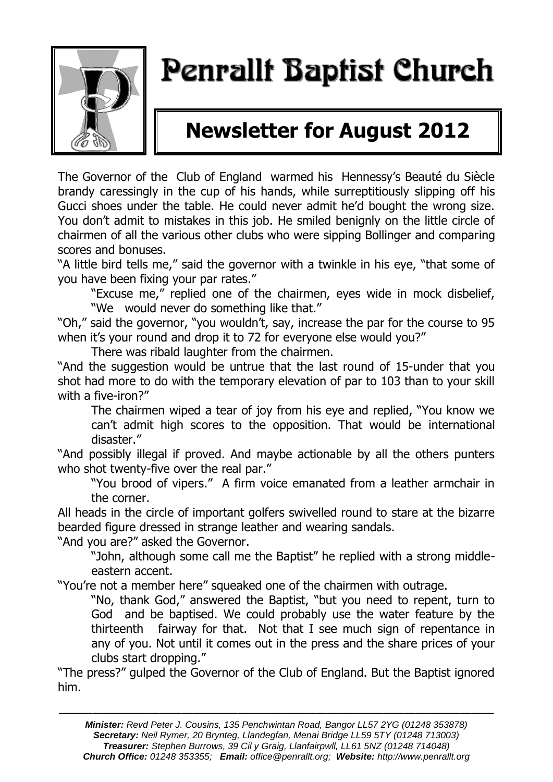

# Penrallt Baptist Church

# **Newsletter for August 2012**

The Governor of the Club of England warmed his Hennessy's Beauté du Siècle brandy caressingly in the cup of his hands, while surreptitiously slipping off his Gucci shoes under the table. He could never admit he'd bought the wrong size. You don't admit to mistakes in this job. He smiled benignly on the little circle of chairmen of all the various other clubs who were sipping Bollinger and comparing scores and bonuses.

"A little bird tells me," said the governor with a twinkle in his eye, "that some of you have been fixing your par rates."

"Excuse me," replied one of the chairmen, eyes wide in mock disbelief, "We would never do something like that."

"Oh," said the governor, "you wouldn't, say, increase the par for the course to 95 when it's your round and drop it to 72 for everyone else would you?"

There was ribald laughter from the chairmen.

"And the suggestion would be untrue that the last round of 15-under that you shot had more to do with the temporary elevation of par to 103 than to your skill with a five-iron?"

The chairmen wiped a tear of joy from his eye and replied, "You know we can't admit high scores to the opposition. That would be international disaster."

"And possibly illegal if proved. And maybe actionable by all the others punters who shot twenty-five over the real par."

"You brood of vipers." A firm voice emanated from a leather armchair in the corner.

All heads in the circle of important golfers swivelled round to stare at the bizarre bearded figure dressed in strange leather and wearing sandals.

"And you are?" asked the Governor.

"John, although some call me the Baptist" he replied with a strong middleeastern accent.

"You're not a member here" squeaked one of the chairmen with outrage.

"No, thank God," answered the Baptist, "but you need to repent, turn to God and be baptised. We could probably use the water feature by the thirteenth fairway for that. Not that I see much sign of repentance in any of you. Not until it comes out in the press and the share prices of your clubs start dropping."

"The press?" gulped the Governor of the Club of England. But the Baptist ignored him.

———————————————————————————————————————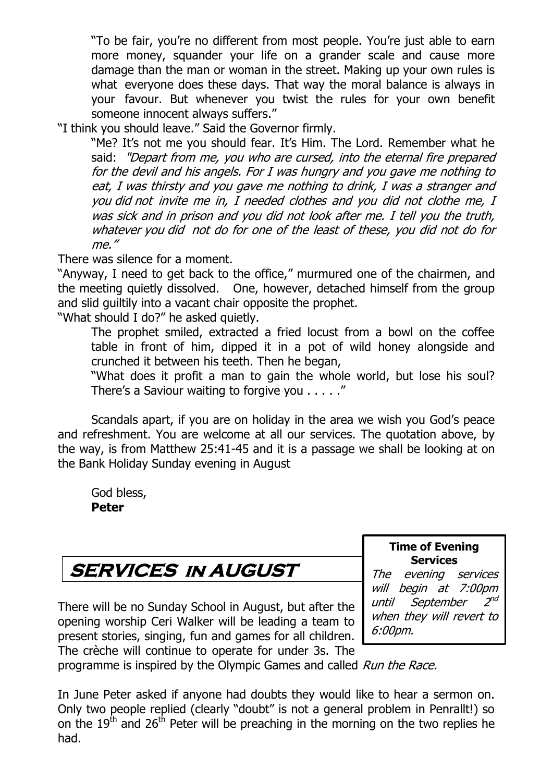"To be fair, you're no different from most people. You're just able to earn more money, squander your life on a grander scale and cause more damage than the man or woman in the street. Making up your own rules is what everyone does these days. That way the moral balance is always in your favour. But whenever you twist the rules for your own benefit someone innocent always suffers."

"I think you should leave." Said the Governor firmly.

"Me? It's not me you should fear. It's Him. The Lord. Remember what he said: "Depart from me, you who are cursed, into the eternal fire prepared for the devil and his angels. For I was hungry and you gave me nothing to eat, I was thirsty and you gave me nothing to drink, I was a stranger and you did not invite me in, I needed clothes and you did not clothe me, I was sick and in prison and you did not look after me. I tell you the truth, whatever you did not do for one of the least of these, you did not do for me."

There was silence for a moment.

"Anyway, I need to get back to the office," murmured one of the chairmen, and the meeting quietly dissolved. One, however, detached himself from the group and slid guiltily into a vacant chair opposite the prophet.

"What should I do?" he asked quietly.

The prophet smiled, extracted a fried locust from a bowl on the coffee table in front of him, dipped it in a pot of wild honey alongside and crunched it between his teeth. Then he began,

"What does it profit a man to gain the whole world, but lose his soul? There's a Saviour waiting to forgive you . . . . ."

Scandals apart, if you are on holiday in the area we wish you God's peace and refreshment. You are welcome at all our services. The quotation above, by the way, is from Matthew 25:41-45 and it is a passage we shall be looking at on the Bank Holiday Sunday evening in August

God bless, **Peter**

# **SERVICES in AUGUST**

There will be no Sunday School in August, but after the opening worship Ceri Walker will be leading a team to present stories, singing, fun and games for all children. The crèche will continue to operate for under 3s. The

#### **Time of Evening Services**

The evening services will begin at 7:00pm until September 2  $2^{nd}$ when they will revert to 6:00pm.

programme is inspired by the Olympic Games and called Run the Race.

In June Peter asked if anyone had doubts they would like to hear a sermon on. Only two people replied (clearly "doubt" is not a general problem in Penrallt!) so on the  $19<sup>th</sup>$  and  $26<sup>th</sup>$  Peter will be preaching in the morning on the two replies he had.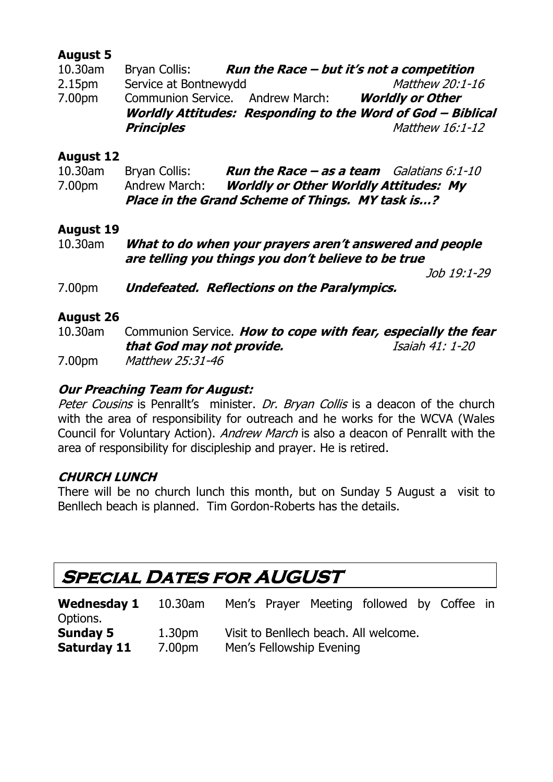#### **August 5**

| 10.30am            | Bryan Collis:                    | Run the Race - but it's not a competition                   |
|--------------------|----------------------------------|-------------------------------------------------------------|
| 2.15 <sub>pm</sub> | Service at Bontnewydd            | Matthew 20:1-16                                             |
| 7.00pm             | Communion Service. Andrew March: | <b>Worldly or Other</b>                                     |
|                    |                                  | Worldly Attitudes: Responding to the Word of God - Biblical |
|                    | <b>Principles</b>                | Matthew 16:1-12                                             |

#### **August 12**

| $10.30$ am | Bryan Collis: | <b>Run the Race – as a team</b> Galatians $6:1-10$ |  |
|------------|---------------|----------------------------------------------------|--|
| 7.00pm     | Andrew March: | <b>Worldly or Other Worldly Attitudes: My</b>      |  |
|            |               | Place in the Grand Scheme of Things. MY task is?   |  |

#### **August 19**

| 10.30am | What to do when your prayers aren't answered and people |
|---------|---------------------------------------------------------|
|         | are telling you things you don't believe to be true     |

Job 19:1-29

7.00pm **Undefeated. Reflections on the Paralympics.**

#### **August 26**

10.30am Communion Service. **How to cope with fear, especially the fear that God may not provide.** Isaiah 41: 1-20

7.00pm Matthew 25:31-46

#### **Our Preaching Team for August:**

Peter Cousins is Penrallt's minister. Dr. Bryan Collis is a deacon of the church with the area of responsibility for outreach and he works for the WCVA (Wales Council for Voluntary Action). Andrew March is also a deacon of Penrallt with the area of responsibility for discipleship and prayer. He is retired.

#### **CHURCH LUNCH**

There will be no church lunch this month, but on Sunday 5 August a visit to Benllech beach is planned. Tim Gordon-Roberts has the details.

### **Special Dates for AUGUST**

| <b>Wednesday 1</b> | 10.30am | Men's Prayer Meeting followed by Coffee in |  |
|--------------------|---------|--------------------------------------------|--|
| Options.           |         |                                            |  |
| <b>Sunday 5</b>    | 1.30pm  | Visit to Benllech beach. All welcome.      |  |
| Saturday 11        | 7.00pm  | Men's Fellowship Evening                   |  |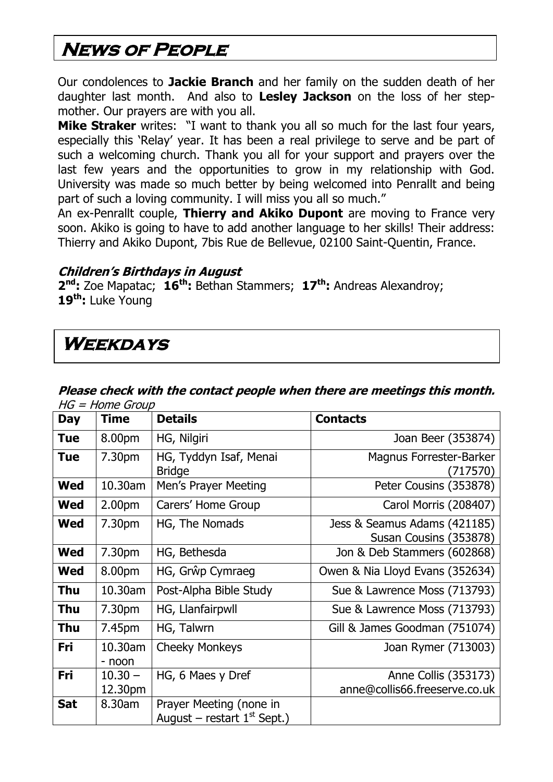## **News of People**

Our condolences to **Jackie Branch** and her family on the sudden death of her daughter last month. And also to **Lesley Jackson** on the loss of her stepmother. Our prayers are with you all.

**Mike Straker** writes: "I want to thank you all so much for the last four years, especially this 'Relay' year. It has been a real privilege to serve and be part of such a welcoming church. Thank you all for your support and prayers over the last few years and the opportunities to grow in my relationship with God. University was made so much better by being welcomed into Penrallt and being part of such a loving community. I will miss you all so much."

An ex-Penrallt couple, **Thierry and Akiko Dupont** are moving to France very soon. Akiko is going to have to add another language to her skills! Their address: Thierry and Akiko Dupont, 7bis Rue de Bellevue, 02100 Saint-Quentin, France.

#### **Children's Birthdays in August**

**2 nd:** Zoe Mapatac; **16th:** Bethan Stammers; **17th:** Andreas Alexandroy; **19th:** Luke Young

### **Weekdays**

#### **Please check with the contact people when there are meetings this month.**  HG = Home Group

| <b>Day</b> | <b>Time</b>          | <b>Details</b>                                           | <b>Contacts</b>                                        |
|------------|----------------------|----------------------------------------------------------|--------------------------------------------------------|
| <b>Tue</b> | 8.00pm               | HG, Nilgiri                                              | Joan Beer (353874)                                     |
| <b>Tue</b> | 7.30pm               | HG, Tyddyn Isaf, Menai<br><b>Bridge</b>                  | Magnus Forrester-Barker<br>(717570)                    |
| <b>Wed</b> | 10.30am              | Men's Prayer Meeting                                     | Peter Cousins (353878)                                 |
| <b>Wed</b> | 2.00 <sub>pm</sub>   | Carers' Home Group                                       | Carol Morris (208407)                                  |
| <b>Wed</b> | 7.30pm               | HG, The Nomads                                           | Jess & Seamus Adams (421185)<br>Susan Cousins (353878) |
| <b>Wed</b> | 7.30 <sub>pm</sub>   | HG, Bethesda                                             | Jon & Deb Stammers (602868)                            |
| <b>Wed</b> | 8.00pm               | HG, Grŵp Cymraeg                                         | Owen & Nia Lloyd Evans (352634)                        |
| <b>Thu</b> | 10.30am              | Post-Alpha Bible Study                                   | Sue & Lawrence Moss (713793)                           |
| Thu        | 7.30pm               | HG, Llanfairpwll                                         | Sue & Lawrence Moss (713793)                           |
| Thu        | 7.45pm               | HG, Talwrn                                               | Gill & James Goodman (751074)                          |
| Fri        | 10.30am<br>- noon    | <b>Cheeky Monkeys</b>                                    | Joan Rymer (713003)                                    |
| Fri        | $10.30 -$<br>12.30pm | HG, 6 Maes y Dref                                        | Anne Collis (353173)<br>anne@collis66.freeserve.co.uk  |
| <b>Sat</b> | 8.30am               | Prayer Meeting (none in<br>August – restart $1st$ Sept.) |                                                        |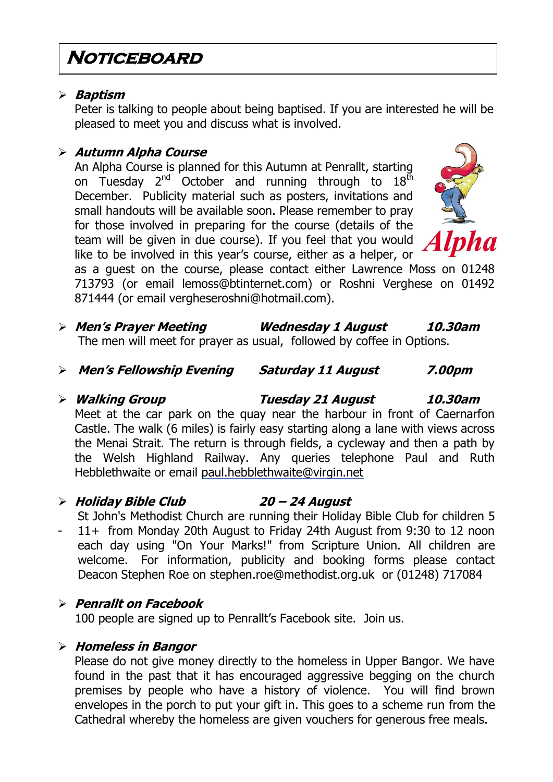### **Noticeboard**

#### **Baptism**

Peter is talking to people about being baptised. If you are interested he will be pleased to meet you and discuss what is involved.

#### **Autumn Alpha Course**

An Alpha Course is planned for this Autumn at Penrallt, starting on Tuesday 2<sup>nd</sup> October and running through to 18<sup>th</sup> December. Publicity material such as posters, invitations and small handouts will be available soon. Please remember to pray for those involved in preparing for the course (details of the team will be given in due course). If you feel that you would like to be involved in this year's course, either as a helper, or



as a guest on the course, please contact either Lawrence Moss on 01248 713793 (or email lemoss@btinternet.com) or Roshni Verghese on 01492 871444 (or email vergheseroshni@hotmail.com).

- **Men's Prayer Meeting Wednesday 1 August 10.30am** The men will meet for prayer as usual, followed by coffee in Options.
- **Men's Fellowship Evening Saturday 11 August 7.00pm**
- **Walking Group Tuesday 21 August 10.30am** Meet at the car park on the quay near the harbour in front of Caernarfon Castle. The walk (6 miles) is fairly easy starting along a lane with views across the Menai Strait. The return is through fields, a cycleway and then a path by the Welsh Highland Railway. Any queries telephone Paul and Ruth Hebblethwaite or email [paul.hebblethwaite@virgin.net](mailto:paul.hebblethwaite@virgin.net)

#### **Holiday Bible Club 20 – 24 August**

St John's Methodist Church are running their Holiday Bible Club for children 5 - 11+ from Monday 20th August to Friday 24th August from 9:30 to 12 noon each day using "On Your Marks!" from Scripture Union. All children are welcome. For information, publicity and booking forms please contact Deacon Stephen Roe on [stephen.roe@methodist.org.uk](mailto:stephen.roe@methodist.org.uk) or (01248) 717084

#### **Penrallt on Facebook**

100 people are signed up to Penrallt's Facebook site. Join us.

#### **Homeless in Bangor**

Please do not give money directly to the homeless in Upper Bangor. We have found in the past that it has encouraged aggressive begging on the church premises by people who have a history of violence. You will find brown envelopes in the porch to put your gift in. This goes to a scheme run from the Cathedral whereby the homeless are given vouchers for generous free meals.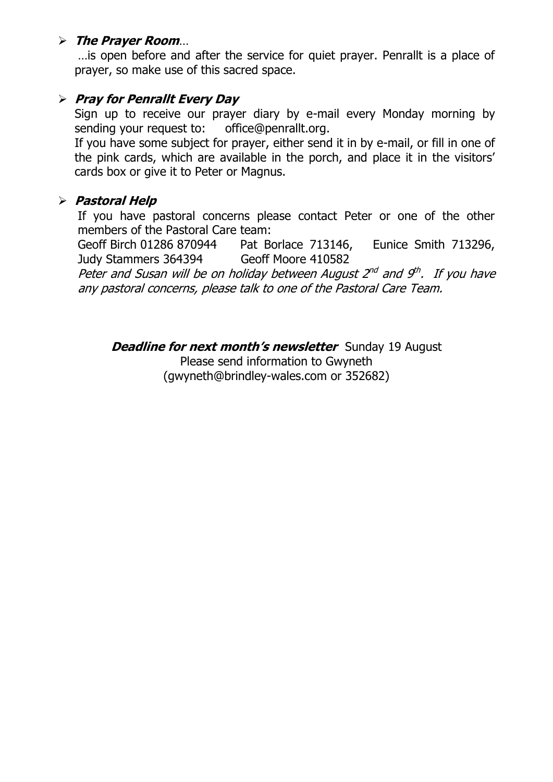#### **The Prayer Room**…

…is open before and after the service for quiet prayer. Penrallt is a place of prayer, so make use of this sacred space.

#### **Pray for Penrallt Every Day**

Sign up to receive our prayer diary by e-mail every Monday morning by sending your request to: [office@penrallt.org.](mailto:office@penrallt.org)

If you have some subject for prayer, either send it in by e-mail, or fill in one of the pink cards, which are available in the porch, and place it in the visitors' cards box or give it to Peter or Magnus.

#### **Pastoral Help**

If you have pastoral concerns please contact Peter or one of the other members of the Pastoral Care team:

Geoff Birch 01286 870944 Pat Borlace 713146, Eunice Smith 713296, Judy Stammers 364394 Geoff Moore 410582

Peter and Susan will be on holiday between August 2<sup>nd</sup> and 9<sup>th</sup>. If you have any pastoral concerns, please talk to one of the Pastoral Care Team.

**Deadline for next month's newsletter** Sunday 19 August

Please send information to Gwyneth [\(gwyneth@brindley-wales.com](mailto:gwyneth@brindley-wales.com) or 352682)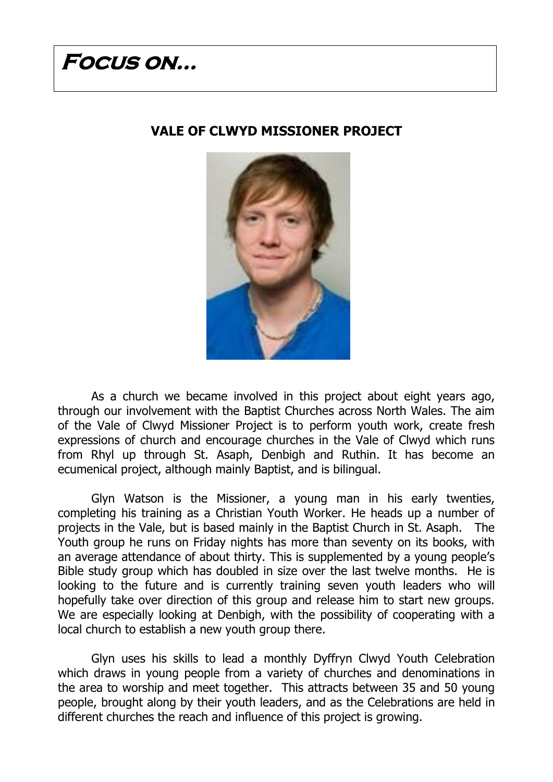# **Focus on…**

#### **VALE OF CLWYD MISSIONER PROJECT**



As a church we became involved in this project about eight years ago, through our involvement with the Baptist Churches across North Wales. The aim of the Vale of Clwyd Missioner Project is to perform youth work, create fresh expressions of church and encourage churches in the Vale of Clwyd which runs from Rhyl up through St. Asaph, Denbigh and Ruthin. It has become an ecumenical project, although mainly Baptist, and is bilingual.

Glyn Watson is the Missioner, a young man in his early twenties, completing his training as a Christian Youth Worker. He heads up a number of projects in the Vale, but is based mainly in the Baptist Church in St. Asaph. The Youth group he runs on Friday nights has more than seventy on its books, with an average attendance of about thirty. This is supplemented by a young people's Bible study group which has doubled in size over the last twelve months. He is looking to the future and is currently training seven youth leaders who will hopefully take over direction of this group and release him to start new groups. We are especially looking at Denbigh, with the possibility of cooperating with a local church to establish a new youth group there.

Glyn uses his skills to lead a monthly Dyffryn Clwyd Youth Celebration which draws in young people from a variety of churches and denominations in the area to worship and meet together. This attracts between 35 and 50 young people, brought along by their youth leaders, and as the Celebrations are held in different churches the reach and influence of this project is growing.